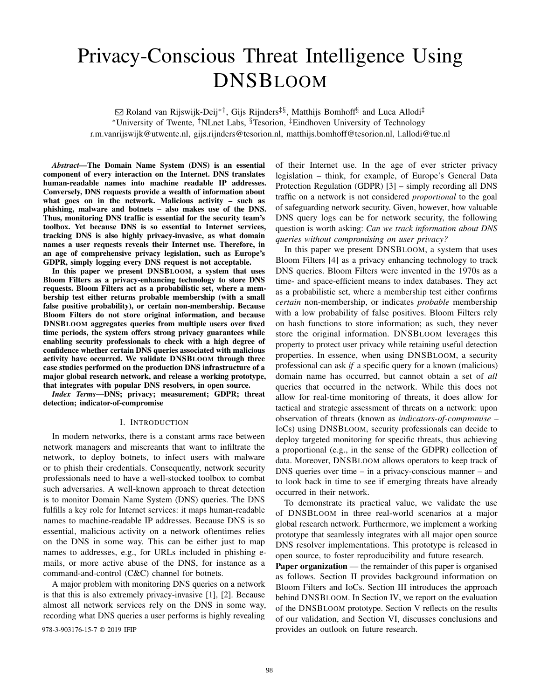# Privacy-Conscious Threat Intelligence Using DNSBLOOM

Q Roland van Rijswijk-Deij∗†, Gijs Rijnders‡§, Matthijs Bomhoff§ and Luca Allodi‡ <sup>∗</sup>University of Twente, †NLnet Labs, §Tesorion, ‡Eindhoven University of Technology r.m.vanrijswijk@utwente.nl, gijs.rijnders@tesorion.nl, matthijs.bomhoff@tesorion.nl, l.allodi@tue.nl

*Abstract*—The Domain Name System (DNS) is an essential component of every interaction on the Internet. DNS translates human-readable names into machine readable IP addresses. Conversely, DNS requests provide a wealth of information about what goes on in the network. Malicious activity – such as phishing, malware and botnets – also makes use of the DNS. Thus, monitoring DNS traffic is essential for the security team's toolbox. Yet because DNS is so essential to Internet services, tracking DNS is also highly privacy-invasive, as what domain names a user requests reveals their Internet use. Therefore, in an age of comprehensive privacy legislation, such as Europe's GDPR, simply logging every DNS request is not acceptable.

In this paper we present DNSBLOOM, a system that uses Bloom Filters as a privacy-enhancing technology to store DNS requests. Bloom Filters act as a probabilistic set, where a membership test either returns probable membership (with a small false positive probability), or certain non-membership. Because Bloom Filters do not store original information, and because DNSBLOOM aggregates queries from multiple users over fixed time periods, the system offers strong privacy guarantees while enabling security professionals to check with a high degree of confidence whether certain DNS queries associated with malicious activity have occurred. We validate DNSBLOOM through three case studies performed on the production DNS infrastructure of a major global research network, and release a working prototype, that integrates with popular DNS resolvers, in open source.

*Index Terms*—DNS; privacy; measurement; GDPR; threat detection; indicator-of-compromise

#### I. INTRODUCTION

In modern networks, there is a constant arms race between network managers and miscreants that want to infiltrate the network, to deploy botnets, to infect users with malware or to phish their credentials. Consequently, network security professionals need to have a well-stocked toolbox to combat such adversaries. A well-known approach to threat detection is to monitor Domain Name System (DNS) queries. The DNS fulfills a key role for Internet services: it maps human-readable names to machine-readable IP addresses. Because DNS is so essential, malicious activity on a network oftentimes relies on the DNS in some way. This can be either just to map names to addresses, e.g., for URLs included in phishing emails, or more active abuse of the DNS, for instance as a command-and-control (C&C) channel for botnets.

A major problem with monitoring DNS queries on a network is that this is also extremely privacy-invasive [1], [2]. Because almost all network services rely on the DNS in some way, recording what DNS queries a user performs is highly revealing

of their Internet use. In the age of ever stricter privacy legislation – think, for example, of Europe's General Data Protection Regulation (GDPR) [3] – simply recording all DNS traffic on a network is not considered *proportional* to the goal of safeguarding network security. Given, however, how valuable DNS query logs can be for network security, the following question is worth asking: *Can we track information about DNS queries without compromising on user privacy?*

In this paper we present DNSBLOOM, a system that uses Bloom Filters [4] as a privacy enhancing technology to track DNS queries. Bloom Filters were invented in the 1970s as a time- and space-efficient means to index databases. They act as a probabilistic set, where a membership test either confirms *certain* non-membership, or indicates *probable* membership with a low probability of false positives. Bloom Filters rely on hash functions to store information; as such, they never store the original information. DNSBLOOM leverages this property to protect user privacy while retaining useful detection properties. In essence, when using DNSBLOOM, a security professional can ask *if* a specific query for a known (malicious) domain name has occurred, but cannot obtain a set of *all* queries that occurred in the network. While this does not allow for real-time monitoring of threats, it does allow for tactical and strategic assessment of threats on a network: upon observation of threats (known as *indicators-of-compromise* – IoCs) using DNSBLOOM, security professionals can decide to deploy targeted monitoring for specific threats, thus achieving a proportional (e.g., in the sense of the GDPR) collection of data. Moreover, DNSBLOOM allows operators to keep track of DNS queries over time – in a privacy-conscious manner – and to look back in time to see if emerging threats have already occurred in their network.

To demonstrate its practical value, we validate the use of DNSBLOOM in three real-world scenarios at a major global research network. Furthermore, we implement a working prototype that seamlessly integrates with all major open source DNS resolver implementations. This prototype is released in open source, to foster reproducibility and future research.

Paper organization — the remainder of this paper is organised as follows. Section II provides background information on Bloom Filters and IoCs. Section III introduces the approach behind DNSBLOOM. In Section IV, we report on the evaluation of the DNSBLOOM prototype. Section V reflects on the results of our validation, and Section VI, discusses conclusions and 978-3-903176-15-7 © 2019 IFIP provides an outlook on future research.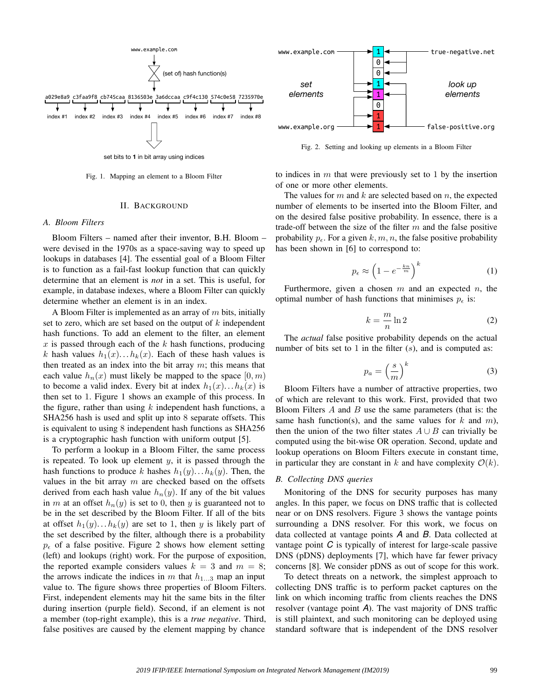

Fig. 1. Mapping an element to a Bloom Filter

#### II. BACKGROUND

#### *A. Bloom Filters*

Bloom Filters – named after their inventor, B.H. Bloom – were devised in the 1970s as a space-saving way to speed up lookups in databases [4]. The essential goal of a Bloom Filter is to function as a fail-fast lookup function that can quickly determine that an element is *not* in a set. This is useful, for example, in database indexes, where a Bloom Filter can quickly determine whether an element is in an index.

A Bloom Filter is implemented as an array of  $m$  bits, initially set to zero, which are set based on the output of  $k$  independent hash functions. To add an element to the filter, an element  $x$  is passed through each of the  $k$  hash functions, producing k hash values  $h_1(x) \dots h_k(x)$ . Each of these hash values is then treated as an index into the bit array  $m$ ; this means that each value  $h_n(x)$  must likely be mapped to the space  $[0, m)$ to become a valid index. Every bit at index  $h_1(x) \dots h_k(x)$  is then set to 1. Figure 1 shows an example of this process. In the figure, rather than using  $k$  independent hash functions, a SHA256 hash is used and split up into 8 separate offsets. This is equivalent to using 8 independent hash functions as SHA256 is a cryptographic hash function with uniform output [5].

To perform a lookup in a Bloom Filter, the same process is repeated. To look up element  $y$ , it is passed through the hash functions to produce k hashes  $h_1(y) \dots h_k(y)$ . Then, the values in the bit array  $m$  are checked based on the offsets derived from each hash value  $h_n(y)$ . If any of the bit values in m at an offset  $h_n(y)$  is set to 0, then y is guaranteed not to be in the set described by the Bloom Filter. If all of the bits at offset  $h_1(y) \dots h_k(y)$  are set to 1, then y is likely part of the set described by the filter, although there is a probability  $p_{\epsilon}$  of a false positive. Figure 2 shows how element setting (left) and lookups (right) work. For the purpose of exposition, the reported example considers values  $k = 3$  and  $m = 8$ ; the arrows indicate the indices in  $m$  that  $h_{1...3}$  map an input value to. The figure shows three properties of Bloom Filters. First, independent elements may hit the same bits in the filter during insertion (purple field). Second, if an element is not a member (top-right example), this is a *true negative*. Third, false positives are caused by the element mapping by chance



Fig. 2. Setting and looking up elements in a Bloom Filter

to indices in  $m$  that were previously set to 1 by the insertion of one or more other elements.

The values for  $m$  and  $k$  are selected based on  $n$ , the expected number of elements to be inserted into the Bloom Filter, and on the desired false positive probability. In essence, there is a trade-off between the size of the filter  $m$  and the false positive probability  $p_{\epsilon}$ . For a given k, m, n, the false positive probability has been shown in [6] to correspond to:

$$
p_{\epsilon} \approx \left(1 - e^{-\frac{k n}{m}}\right)^k \tag{1}
$$

Furthermore, given a chosen  $m$  and an expected  $n$ , the optimal number of hash functions that minimises  $p_{\epsilon}$  is:

$$
k = \frac{m}{n} \ln 2
$$
 (2)

The *actual* false positive probability depends on the actual number of bits set to 1 in the filter  $(s)$ , and is computed as:

$$
p_a = \left(\frac{s}{m}\right)^k \tag{3}
$$

Bloom Filters have a number of attractive properties, two of which are relevant to this work. First, provided that two Bloom Filters  $A$  and  $B$  use the same parameters (that is: the same hash function(s), and the same values for  $k$  and  $m$ ), then the union of the two filter states  $A \cup B$  can trivially be computed using the bit-wise OR operation. Second, update and lookup operations on Bloom Filters execute in constant time, in particular they are constant in k and have complexity  $\mathcal{O}(k)$ .

#### *B. Collecting DNS queries*

Monitoring of the DNS for security purposes has many angles. In this paper, we focus on DNS traffic that is collected near or on DNS resolvers. Figure 3 shows the vantage points surrounding a DNS resolver. For this work, we focus on data collected at vantage points *A* and *B*. Data collected at vantage point *C* is typically of interest for large-scale passive DNS (pDNS) deployments [7], which have far fewer privacy concerns [8]. We consider pDNS as out of scope for this work.

To detect threats on a network, the simplest approach to collecting DNS traffic is to perform packet captures on the link on which incoming traffic from clients reaches the DNS resolver (vantage point *A*). The vast majority of DNS traffic is still plaintext, and such monitoring can be deployed using standard software that is independent of the DNS resolver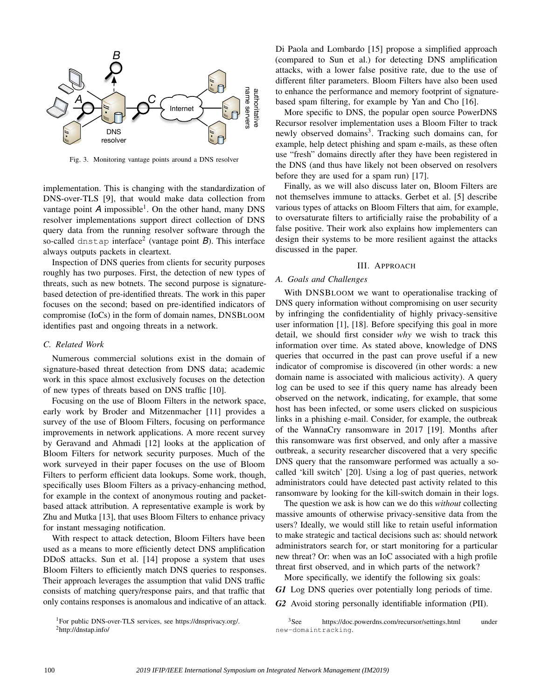

Fig. 3. Monitoring vantage points around a DNS resolver

implementation. This is changing with the standardization of DNS-over-TLS [9], that would make data collection from vantage point A impossible<sup>1</sup>. On the other hand, many DNS resolver implementations support direct collection of DNS query data from the running resolver software through the so-called dnstap interface<sup>2</sup> (vantage point *B*). This interface always outputs packets in cleartext.

Inspection of DNS queries from clients for security purposes roughly has two purposes. First, the detection of new types of threats, such as new botnets. The second purpose is signaturebased detection of pre-identified threats. The work in this paper focuses on the second; based on pre-identified indicators of compromise (IoCs) in the form of domain names, DNSBLOOM identifies past and ongoing threats in a network.

### *C. Related Work*

Numerous commercial solutions exist in the domain of signature-based threat detection from DNS data; academic work in this space almost exclusively focuses on the detection of new types of threats based on DNS traffic [10].

Focusing on the use of Bloom Filters in the network space, early work by Broder and Mitzenmacher [11] provides a survey of the use of Bloom Filters, focusing on performance improvements in network applications. A more recent survey by Geravand and Ahmadi [12] looks at the application of Bloom Filters for network security purposes. Much of the work surveyed in their paper focuses on the use of Bloom Filters to perform efficient data lookups. Some work, though, specifically uses Bloom Filters as a privacy-enhancing method, for example in the context of anonymous routing and packetbased attack attribution. A representative example is work by Zhu and Mutka [13], that uses Bloom Filters to enhance privacy for instant messaging notification.

With respect to attack detection, Bloom Filters have been used as a means to more efficiently detect DNS amplification DDoS attacks. Sun et al. [14] propose a system that uses Bloom Filters to efficiently match DNS queries to responses. Their approach leverages the assumption that valid DNS traffic consists of matching query/response pairs, and that traffic that only contains responses is anomalous and indicative of an attack.

<sup>1</sup>For public DNS-over-TLS services, see https://dnsprivacy.org/. <sup>2</sup>http://dnstap.info/

Di Paola and Lombardo [15] propose a simplified approach (compared to Sun et al.) for detecting DNS amplification attacks, with a lower false positive rate, due to the use of different filter parameters. Bloom Filters have also been used to enhance the performance and memory footprint of signaturebased spam filtering, for example by Yan and Cho [16].

More specific to DNS, the popular open source PowerDNS Recursor resolver implementation uses a Bloom Filter to track newly observed domains<sup>3</sup>. Tracking such domains can, for example, help detect phishing and spam e-mails, as these often use "fresh" domains directly after they have been registered in the DNS (and thus have likely not been observed on resolvers before they are used for a spam run) [17].

Finally, as we will also discuss later on, Bloom Filters are not themselves immune to attacks. Gerbet et al. [5] describe various types of attacks on Bloom Filters that aim, for example, to oversaturate filters to artificially raise the probability of a false positive. Their work also explains how implementers can design their systems to be more resilient against the attacks discussed in the paper.

## III. APPROACH

## *A. Goals and Challenges*

With DNSBLOOM we want to operationalise tracking of DNS query information without compromising on user security by infringing the confidentiality of highly privacy-sensitive user information [1], [18]. Before specifying this goal in more detail, we should first consider *why* we wish to track this information over time. As stated above, knowledge of DNS queries that occurred in the past can prove useful if a new indicator of compromise is discovered (in other words: a new domain name is associated with malicious activity). A query log can be used to see if this query name has already been observed on the network, indicating, for example, that some host has been infected, or some users clicked on suspicious links in a phishing e-mail. Consider, for example, the outbreak of the WannaCry ransomware in 2017 [19]. Months after this ransomware was first observed, and only after a massive outbreak, a security researcher discovered that a very specific DNS query that the ransomware performed was actually a socalled 'kill switch' [20]. Using a log of past queries, network administrators could have detected past activity related to this ransomware by looking for the kill-switch domain in their logs.

The question we ask is how can we do this *without* collecting massive amounts of otherwise privacy-sensitive data from the users? Ideally, we would still like to retain useful information to make strategic and tactical decisions such as: should network administrators search for, or start monitoring for a particular new threat? Or: when was an IoC associated with a high profile threat first observed, and in which parts of the network?

More specifically, we identify the following six goals:

*G1* Log DNS queries over potentially long periods of time.

*G2* Avoid storing personally identifiable information (PII).

<sup>3</sup>See https://doc.powerdns.com/recursor/settings.html under new-domaintracking.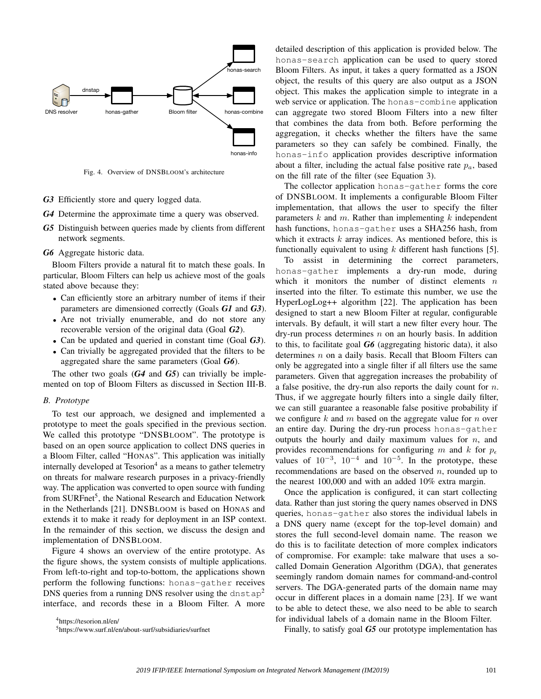

Fig. 4. Overview of DNSBLOOM's architecture

- *G3* Efficiently store and query logged data.
- *G4* Determine the approximate time a query was observed.
- *G5* Distinguish between queries made by clients from different network segments.
- *G6* Aggregate historic data.

Bloom Filters provide a natural fit to match these goals. In particular, Bloom Filters can help us achieve most of the goals stated above because they:

- Can efficiently store an arbitrary number of items if their parameters are dimensioned correctly (Goals *G1* and *G3*).
- Are not trivially enumerable, and do not store any recoverable version of the original data (Goal *G2*).
- Can be updated and queried in constant time (Goal *G3*).
- Can trivially be aggregated provided that the filters to be aggregated share the same parameters (Goal *G6*).

The other two goals (*G4* and *G5*) can trivially be implemented on top of Bloom Filters as discussed in Section III-B.

#### *B. Prototype*

To test our approach, we designed and implemented a prototype to meet the goals specified in the previous section. We called this prototype "DNSBLOOM". The prototype is based on an open source application to collect DNS queries in a Bloom Filter, called "HONAS". This application was initially internally developed at Tesorion<sup>4</sup> as a means to gather telemetry on threats for malware research purposes in a privacy-friendly way. The application was converted to open source with funding from SURFnet<sup>5</sup>, the National Research and Education Network in the Netherlands [21]. DNSBLOOM is based on HONAS and extends it to make it ready for deployment in an ISP context. In the remainder of this section, we discuss the design and implementation of DNSBLOOM.

Figure 4 shows an overview of the entire prototype. As the figure shows, the system consists of multiple applications. From left-to-right and top-to-bottom, the applications shown perform the following functions: honas-gather receives DNS queries from a running DNS resolver using the dnstap<sup>2</sup> interface, and records these in a Bloom Filter. A more

<sup>4</sup>https://tesorion.nl/en/

detailed description of this application is provided below. The honas-search application can be used to query stored Bloom Filters. As input, it takes a query formatted as a JSON object, the results of this query are also output as a JSON object. This makes the application simple to integrate in a web service or application. The honas-combine application can aggregate two stored Bloom Filters into a new filter that combines the data from both. Before performing the aggregation, it checks whether the filters have the same parameters so they can safely be combined. Finally, the honas-info application provides descriptive information about a filter, including the actual false positive rate  $p_a$ , based on the fill rate of the filter (see Equation 3).

The collector application honas-gather forms the core of DNSBLOOM. It implements a configurable Bloom Filter implementation, that allows the user to specify the filter parameters  $k$  and  $m$ . Rather than implementing  $k$  independent hash functions, honas-gather uses a SHA256 hash, from which it extracts  $k$  array indices. As mentioned before, this is functionally equivalent to using  $k$  different hash functions [5].

To assist in determining the correct parameters, honas-gather implements a dry-run mode, during which it monitors the number of distinct elements  $n$ inserted into the filter. To estimate this number, we use the HyperLogLog++ algorithm [22]. The application has been designed to start a new Bloom Filter at regular, configurable intervals. By default, it will start a new filter every hour. The dry-run process determines  $n$  on an hourly basis. In addition to this, to facilitate goal *G6* (aggregating historic data), it also determines *n* on a daily basis. Recall that Bloom Filters can only be aggregated into a single filter if all filters use the same parameters. Given that aggregation increases the probability of a false positive, the dry-run also reports the daily count for  $n$ . Thus, if we aggregate hourly filters into a single daily filter, we can still guarantee a reasonable false positive probability if we configure  $k$  and  $m$  based on the aggregate value for  $n$  over an entire day. During the dry-run process honas-gather outputs the hourly and daily maximum values for  $n$ , and provides recommendations for configuring m and k for  $p_e$ values of  $10^{-3}$ ,  $10^{-4}$  and  $10^{-5}$ . In the prototype, these recommendations are based on the observed  $n$ , rounded up to the nearest 100,000 and with an added 10% extra margin.

Once the application is configured, it can start collecting data. Rather than just storing the query names observed in DNS queries, honas-gather also stores the individual labels in a DNS query name (except for the top-level domain) and stores the full second-level domain name. The reason we do this is to facilitate detection of more complex indicators of compromise. For example: take malware that uses a socalled Domain Generation Algorithm (DGA), that generates seemingly random domain names for command-and-control servers. The DGA-generated parts of the domain name may occur in different places in a domain name [23]. If we want to be able to detect these, we also need to be able to search for individual labels of a domain name in the Bloom Filter.

Finally, to satisfy goal *G5* our prototype implementation has

<sup>5</sup>https://www.surf.nl/en/about-surf/subsidiaries/surfnet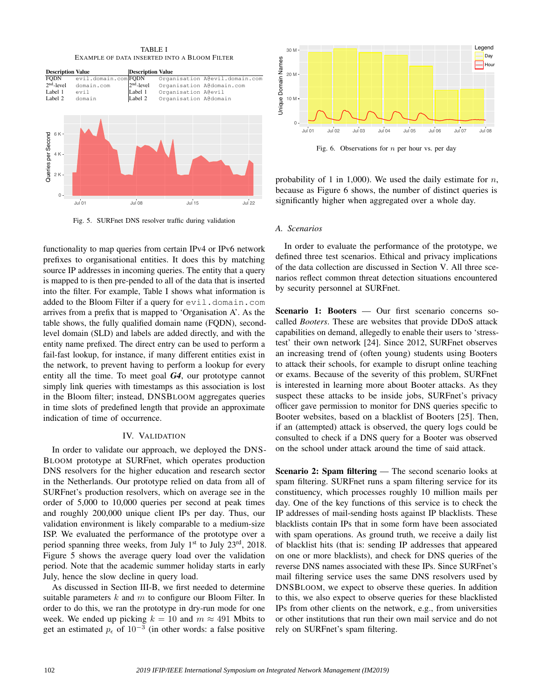TABLE I EXAMPLE OF DATA INSERTED INTO A BLOOM FILTER



Fig. 5. SURFnet DNS resolver traffic during validation

functionality to map queries from certain IPv4 or IPv6 network prefixes to organisational entities. It does this by matching source IP addresses in incoming queries. The entity that a query is mapped to is then pre-pended to all of the data that is inserted into the filter. For example, Table I shows what information is added to the Bloom Filter if a query for evil.domain.com arrives from a prefix that is mapped to 'Organisation A'. As the table shows, the fully qualified domain name (FQDN), secondlevel domain (SLD) and labels are added directly, and with the entity name prefixed. The direct entry can be used to perform a fail-fast lookup, for instance, if many different entities exist in the network, to prevent having to perform a lookup for every entity all the time. To meet goal *G4*, our prototype cannot simply link queries with timestamps as this association is lost in the Bloom filter; instead, DNSBLOOM aggregates queries in time slots of predefined length that provide an approximate indication of time of occurrence.

## IV. VALIDATION

In order to validate our approach, we deployed the DNS-BLOOM prototype at SURFnet, which operates production DNS resolvers for the higher education and research sector in the Netherlands. Our prototype relied on data from all of SURFnet's production resolvers, which on average see in the order of 5,000 to 10,000 queries per second at peak times and roughly 200,000 unique client IPs per day. Thus, our validation environment is likely comparable to a medium-size ISP. We evaluated the performance of the prototype over a period spanning three weeks, from July 1<sup>st</sup> to July 23<sup>rd</sup>, 2018. Figure 5 shows the average query load over the validation period. Note that the academic summer holiday starts in early July, hence the slow decline in query load.

As discussed in Section III-B, we first needed to determine suitable parameters  $k$  and  $m$  to configure our Bloom Filter. In order to do this, we ran the prototype in dry-run mode for one week. We ended up picking  $k = 10$  and  $m \approx 491$  Mbits to get an estimated  $p_e$  of  $10^{-3}$  (in other words: a false positive



Fig. 6. Observations for  $n$  per hour vs. per day

probability of 1 in 1,000). We used the daily estimate for  $n$ , because as Figure 6 shows, the number of distinct queries is significantly higher when aggregated over a whole day.

## *A. Scenarios*

In order to evaluate the performance of the prototype, we defined three test scenarios. Ethical and privacy implications of the data collection are discussed in Section V. All three scenarios reflect common threat detection situations encountered by security personnel at SURFnet.

Scenario 1: Booters — Our first scenario concerns socalled *Booters*. These are websites that provide DDoS attack capabilities on demand, allegedly to enable their users to 'stresstest' their own network [24]. Since 2012, SURFnet observes an increasing trend of (often young) students using Booters to attack their schools, for example to disrupt online teaching or exams. Because of the severity of this problem, SURFnet is interested in learning more about Booter attacks. As they suspect these attacks to be inside jobs, SURFnet's privacy officer gave permission to monitor for DNS queries specific to Booter websites, based on a blacklist of Booters [25]. Then, if an (attempted) attack is observed, the query logs could be consulted to check if a DNS query for a Booter was observed on the school under attack around the time of said attack.

Scenario 2: Spam filtering — The second scenario looks at spam filtering. SURFnet runs a spam filtering service for its constituency, which processes roughly 10 million mails per day. One of the key functions of this service is to check the IP addresses of mail-sending hosts against IP blacklists. These blacklists contain IPs that in some form have been associated with spam operations. As ground truth, we receive a daily list of blacklist hits (that is: sending IP addresses that appeared on one or more blacklists), and check for DNS queries of the reverse DNS names associated with these IPs. Since SURFnet's mail filtering service uses the same DNS resolvers used by DNSBLOOM, we expect to observe these queries. In addition to this, we also expect to observe queries for these blacklisted IPs from other clients on the network, e.g., from universities or other institutions that run their own mail service and do not rely on SURFnet's spam filtering.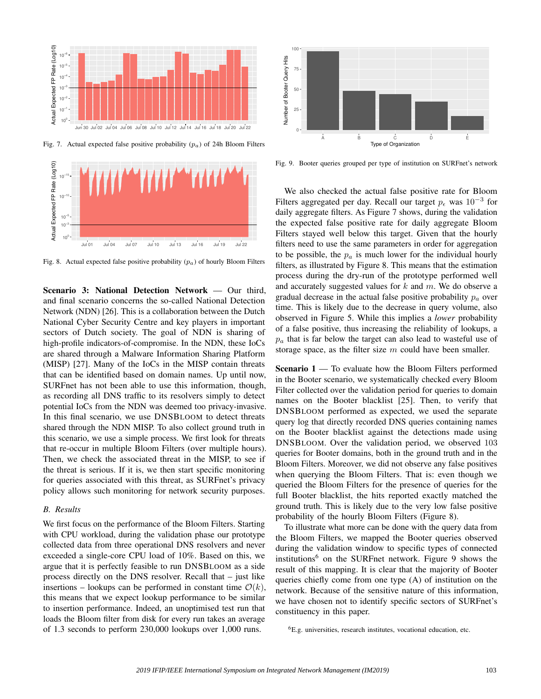

Fig. 7. Actual expected false positive probability  $(p_a)$  of 24h Bloom Filters



Fig. 8. Actual expected false positive probability  $(p_a)$  of hourly Bloom Filters

Scenario 3: National Detection Network — Our third, and final scenario concerns the so-called National Detection Network (NDN) [26]. This is a collaboration between the Dutch National Cyber Security Centre and key players in important sectors of Dutch society. The goal of NDN is sharing of high-profile indicators-of-compromise. In the NDN, these IoCs are shared through a Malware Information Sharing Platform (MISP) [27]. Many of the IoCs in the MISP contain threats that can be identified based on domain names. Up until now, SURFnet has not been able to use this information, though, as recording all DNS traffic to its resolvers simply to detect potential IoCs from the NDN was deemed too privacy-invasive. In this final scenario, we use DNSBLOOM to detect threats shared through the NDN MISP. To also collect ground truth in this scenario, we use a simple process. We first look for threats that re-occur in multiple Bloom Filters (over multiple hours). Then, we check the associated threat in the MISP, to see if the threat is serious. If it is, we then start specific monitoring for queries associated with this threat, as SURFnet's privacy policy allows such monitoring for network security purposes.

## *B. Results*

We first focus on the performance of the Bloom Filters. Starting with CPU workload, during the validation phase our prototype collected data from three operational DNS resolvers and never exceeded a single-core CPU load of 10%. Based on this, we argue that it is perfectly feasible to run DNSBLOOM as a side process directly on the DNS resolver. Recall that – just like insertions – lookups can be performed in constant time  $\mathcal{O}(k)$ , this means that we expect lookup performance to be similar to insertion performance. Indeed, an unoptimised test run that loads the Bloom filter from disk for every run takes an average of 1.3 seconds to perform 230,000 lookups over 1,000 runs.



Fig. 9. Booter queries grouped per type of institution on SURFnet's network

We also checked the actual false positive rate for Bloom Filters aggregated per day. Recall our target  $p_{\epsilon}$  was  $10^{-3}$  for daily aggregate filters. As Figure 7 shows, during the validation the expected false positive rate for daily aggregate Bloom Filters stayed well below this target. Given that the hourly filters need to use the same parameters in order for aggregation to be possible, the  $p_a$  is much lower for the individual hourly filters, as illustrated by Figure 8. This means that the estimation process during the dry-run of the prototype performed well and accurately suggested values for  $k$  and  $m$ . We do observe a gradual decrease in the actual false positive probability  $p_a$  over time. This is likely due to the decrease in query volume, also observed in Figure 5. While this implies a *lower* probability of a false positive, thus increasing the reliability of lookups, a  $p_a$  that is far below the target can also lead to wasteful use of storage space, as the filter size  $m$  could have been smaller.

Scenario 1 — To evaluate how the Bloom Filters performed in the Booter scenario, we systematically checked every Bloom Filter collected over the validation period for queries to domain names on the Booter blacklist [25]. Then, to verify that DNSBLOOM performed as expected, we used the separate query log that directly recorded DNS queries containing names on the Booter blacklist against the detections made using DNSBLOOM. Over the validation period, we observed 103 queries for Booter domains, both in the ground truth and in the Bloom Filters. Moreover, we did not observe any false positives when querying the Bloom Filters. That is: even though we queried the Bloom Filters for the presence of queries for the full Booter blacklist, the hits reported exactly matched the ground truth. This is likely due to the very low false positive probability of the hourly Bloom Filters (Figure 8).

To illustrate what more can be done with the query data from the Bloom Filters, we mapped the Booter queries observed during the validation window to specific types of connected institutions<sup>6</sup> on the SURFnet network. Figure 9 shows the result of this mapping. It is clear that the majority of Booter queries chiefly come from one type (A) of institution on the network. Because of the sensitive nature of this information, we have chosen not to identify specific sectors of SURFnet's constituency in this paper.

<sup>6</sup>E.g. universities, research institutes, vocational education, etc.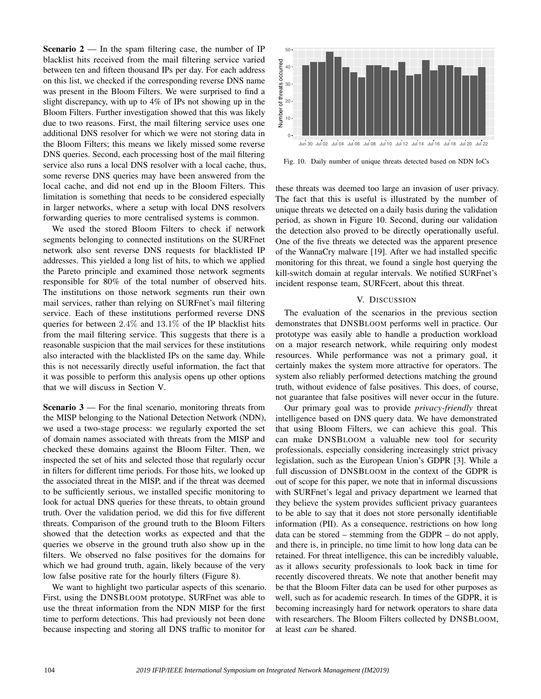**Scenario 2** — In the spam filtering case, the number of IP blacklist hits received from the mail filtering service varied between ten and fifteen thousand IPs per day. For each address on this list, we checked if the corresponding reverse DNS name was present in the Bloom Filters. We were surprised to find a slight discrepancy, with up to 4% of IPs not showing up in the Bloom Filters. Further investigation showed that this was likely due to two reasons. First, the mail filtering service uses one additional DNS resolver for which we were not storing data in the Bloom Filters; this means we likely missed some reverse DNS queries. Second, each processing host of the mail filtering service also runs a local DNS resolver with a local cache, thus, some reverse DNS queries may have been answered from the local cache, and did not end up in the Bloom Filters. This limitation is something that needs to be considered especially in larger networks, where a setup with local DNS resolvers forwarding queries to more centralised systems is common.

We used the stored Bloom Filters to check if network segments belonging to connected institutions on the SURFnet network also sent reverse DNS requests for blacklisted IP addresses. This yielded a long list of hits, to which we applied the Pareto principle and examined those network segments responsible for 80% of the total number of observed hits. The institutions on those network segments run their own mail services, rather than relying on SURFnet's mail filtering service. Each of these institutions performed reverse DNS queries for between 2.4% and 13.1% of the IP blacklist hits from the mail filtering service. This suggests that there is a reasonable suspicion that the mail services for these institutions also interacted with the blacklisted IPs on the same day. While this is not necessarily directly useful information, the fact that it was possible to perform this analysis opens up other options that we will discuss in Section V.

**Scenario 3** — For the final scenario, monitoring threats from the MISP belonging to the National Detection Network (NDN), we used a two-stage process: we regularly exported the set of domain names associated with threats from the MISP and checked these domains against the Bloom Filter. Then, we inspected the set of hits and selected those that regularly occur in filters for different time periods. For those hits, we looked up the associated threat in the MISP, and if the threat was deemed to be sufficiently serious, we installed specific monitoring to look for actual DNS queries for these threats, to obtain ground truth. Over the validation period, we did this for five different threats. Comparison of the ground truth to the Bloom Filters showed that the detection works as expected and that the queries we observe in the ground truth also show up in the filters. We observed no false positives for the domains for which we had ground truth, again, likely because of the very low false positive rate for the hourly filters (Figure 8).

We want to highlight two particular aspects of this scenario. First, using the DNSBLOOM prototype, SURFnet was able to use the threat information from the NDN MISP for the first time to perform detections. This had previously not been done because inspecting and storing all DNS traffic to monitor for



Fig. 10. Daily number of unique threats detected based on NDN IoCs

these threats was deemed too large an invasion of user privacy. The fact that this is useful is illustrated by the number of unique threats we detected on a daily basis during the validation period, as shown in Figure 10. Second, during our validation the detection also proved to be directly operationally useful. One of the five threats we detected was the apparent presence of the WannaCry malware [19]. After we had installed specific monitoring for this threat, we found a single host querying the kill-switch domain at regular intervals. We notified SURFnet's incident response team, SURFcert, about this threat.

## V. DISCUSSION

The evaluation of the scenarios in the previous section demonstrates that DNSBLOOM performs well in practice. Our prototype was easily able to handle a production workload on a major research network, while requiring only modest resources. While performance was not a primary goal, it certainly makes the system more attractive for operators. The system also reliably performed detections matching the ground truth, without evidence of false positives. This does, of course, not guarantee that false positives will never occur in the future.

Our primary goal was to provide *privacy-friendly* threat intelligence based on DNS query data. We have demonstrated that using Bloom Filters, we can achieve this goal. This can make DNSBLOOM a valuable new tool for security professionals, especially considering increasingly strict privacy legislation, such as the European Union's GDPR [3]. While a full discussion of DNSBLOOM in the context of the GDPR is out of scope for this paper, we note that in informal discussions with SURFnet's legal and privacy department we learned that they believe the system provides sufficient privacy guarantees to be able to say that it does not store personally identifiable information (PII). As a consequence, restrictions on how long data can be stored – stemming from the GDPR – do not apply, and there is, in principle, no time limit to how long data can be retained. For threat intelligence, this can be incredibly valuable, as it allows security professionals to look back in time for recently discovered threats. We note that another benefit may be that the Bloom Filter data can be used for other purposes as well, such as for academic research. In times of the GDPR, it is becoming increasingly hard for network operators to share data with researchers. The Bloom Filters collected by DNSBLOOM, at least *can* be shared.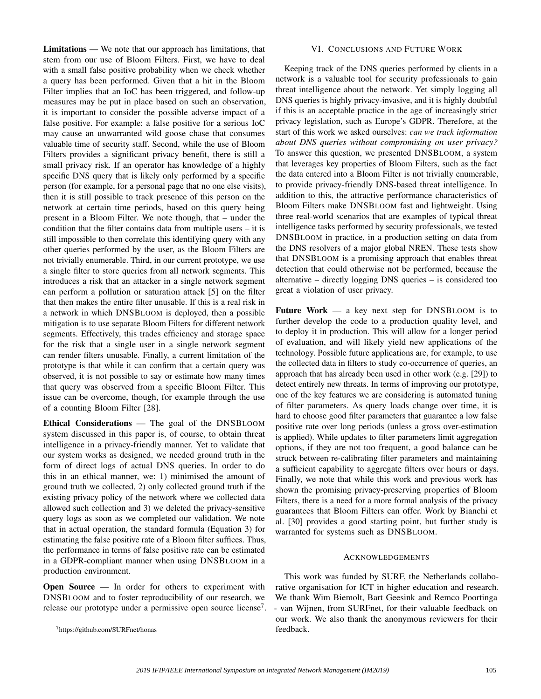Limitations — We note that our approach has limitations, that stem from our use of Bloom Filters. First, we have to deal with a small false positive probability when we check whether a query has been performed. Given that a hit in the Bloom Filter implies that an IoC has been triggered, and follow-up measures may be put in place based on such an observation, it is important to consider the possible adverse impact of a false positive. For example: a false positive for a serious IoC may cause an unwarranted wild goose chase that consumes valuable time of security staff. Second, while the use of Bloom Filters provides a significant privacy benefit, there is still a small privacy risk. If an operator has knowledge of a highly specific DNS query that is likely only performed by a specific person (for example, for a personal page that no one else visits), then it is still possible to track presence of this person on the network at certain time periods, based on this query being present in a Bloom Filter. We note though, that – under the condition that the filter contains data from multiple users – it is still impossible to then correlate this identifying query with any other queries performed by the user, as the Bloom Filters are not trivially enumerable. Third, in our current prototype, we use a single filter to store queries from all network segments. This introduces a risk that an attacker in a single network segment can perform a pollution or saturation attack [5] on the filter that then makes the entire filter unusable. If this is a real risk in a network in which DNSBLOOM is deployed, then a possible mitigation is to use separate Bloom Filters for different network segments. Effectively, this trades efficiency and storage space for the risk that a single user in a single network segment can render filters unusable. Finally, a current limitation of the prototype is that while it can confirm that a certain query was observed, it is not possible to say or estimate how many times that query was observed from a specific Bloom Filter. This issue can be overcome, though, for example through the use of a counting Bloom Filter [28].

Ethical Considerations — The goal of the DNSBLOOM system discussed in this paper is, of course, to obtain threat intelligence in a privacy-friendly manner. Yet to validate that our system works as designed, we needed ground truth in the form of direct logs of actual DNS queries. In order to do this in an ethical manner, we: 1) minimised the amount of ground truth we collected, 2) only collected ground truth if the existing privacy policy of the network where we collected data allowed such collection and 3) we deleted the privacy-sensitive query logs as soon as we completed our validation. We note that in actual operation, the standard formula (Equation 3) for estimating the false positive rate of a Bloom filter suffices. Thus, the performance in terms of false positive rate can be estimated in a GDPR-compliant manner when using DNSBLOOM in a production environment.

Open Source — In order for others to experiment with DNSBLOOM and to foster reproducibility of our research, we release our prototype under a permissive open source license<sup>7</sup>.

<sup>7</sup>https://github.com/SURFnet/honas

#### VI. CONCLUSIONS AND FUTURE WORK

Keeping track of the DNS queries performed by clients in a network is a valuable tool for security professionals to gain threat intelligence about the network. Yet simply logging all DNS queries is highly privacy-invasive, and it is highly doubtful if this is an acceptable practice in the age of increasingly strict privacy legislation, such as Europe's GDPR. Therefore, at the start of this work we asked ourselves: *can we track information about DNS queries without compromising on user privacy?* To answer this question, we presented DNSBLOOM, a system that leverages key properties of Bloom Filters, such as the fact the data entered into a Bloom Filter is not trivially enumerable, to provide privacy-friendly DNS-based threat intelligence. In addition to this, the attractive performance characteristics of Bloom Filters make DNSBLOOM fast and lightweight. Using three real-world scenarios that are examples of typical threat intelligence tasks performed by security professionals, we tested DNSBLOOM in practice, in a production setting on data from the DNS resolvers of a major global NREN. These tests show that DNSBLOOM is a promising approach that enables threat detection that could otherwise not be performed, because the alternative – directly logging DNS queries – is considered too great a violation of user privacy.

Future Work — a key next step for DNSBLOOM is to further develop the code to a production quality level, and to deploy it in production. This will allow for a longer period of evaluation, and will likely yield new applications of the technology. Possible future applications are, for example, to use the collected data in filters to study co-occurrence of queries, an approach that has already been used in other work (e.g. [29]) to detect entirely new threats. In terms of improving our prototype, one of the key features we are considering is automated tuning of filter parameters. As query loads change over time, it is hard to choose good filter parameters that guarantee a low false positive rate over long periods (unless a gross over-estimation is applied). While updates to filter parameters limit aggregation options, if they are not too frequent, a good balance can be struck between re-calibrating filter parameters and maintaining a sufficient capability to aggregate filters over hours or days. Finally, we note that while this work and previous work has shown the promising privacy-preserving properties of Bloom Filters, there is a need for a more formal analysis of the privacy guarantees that Bloom Filters can offer. Work by Bianchi et al. [30] provides a good starting point, but further study is warranted for systems such as DNSBLOOM.

### ACKNOWLEDGEMENTS

This work was funded by SURF, the Netherlands collaborative organisation for ICT in higher education and research. We thank Wim Biemolt, Bart Geesink and Remco Poortinga - van Wijnen, from SURFnet, for their valuable feedback on our work. We also thank the anonymous reviewers for their feedback.